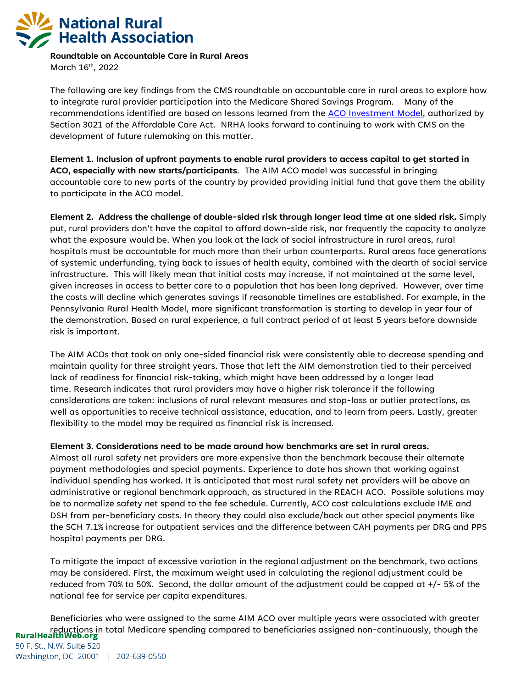

**Roundtable on Accountable Care in Rural Areas**  March 16<sup>th</sup>, 2022

The following are key findings from the CMS roundtable on accountable care in rural areas to explore how to integrate rural provider participation into the Medicare Shared Savings Program. Many of the recommendations identified are based on lessons learned from the [ACO Investment Model,](https://innovation.cms.gov/innovation-models/aco-investment-model) authorized by Section 3021 of the Affordable Care Act. NRHA looks forward to continuing to work with CMS on the development of future rulemaking on this matter.

**Element 1. Inclusion of upfront payments to enable rural providers to access capital to get started in ACO, especially with new starts/participants**. The AIM ACO model was successful in bringing accountable care to new parts of the country by provided providing initial fund that gave them the ability to participate in the ACO model.

**Element 2. Address the challenge of double-sided risk through longer lead time at one sided risk.** Simply put, rural providers don't have the capital to afford down-side risk, nor frequently the capacity to analyze what the exposure would be. When you look at the lack of social infrastructure in rural areas, rural hospitals must be accountable for much more than their urban counterparts. Rural areas face generations of systemic underfunding, tying back to issues of health equity, combined with the dearth of social service infrastructure. This will likely mean that initial costs may increase, if not maintained at the same level, given increases in access to better care to a population that has been long deprived. However, over time the costs will decline which generates savings if reasonable timelines are established. For example, in the Pennsylvania Rural Health Model, more significant transformation is starting to develop in year four of the demonstration. Based on rural experience, a full contract period of at least 5 years before downside risk is important.

The AIM ACOs that took on only one-sided financial risk were consistently able to decrease spending and maintain quality for three straight years. Those that left the AIM demonstration tied to their perceived lack of readiness for financial risk-taking, which might have been addressed by a longer lead time. Research indicates that rural providers may have a higher risk tolerance if the following considerations are taken: inclusions of rural relevant measures and stop-loss or outlier protections, as well as opportunities to receive technical assistance, education, and to learn from peers. Lastly, greater flexibility to the model may be required as financial risk is increased.

**Element 3. Considerations need to be made around how benchmarks are set in rural areas.**

Almost all rural safety net providers are more expensive than the benchmark because their alternate payment methodologies and special payments. Experience to date has shown that working against individual spending has worked. It is anticipated that most rural safety net providers will be above an administrative or regional benchmark approach, as structured in the REACH ACO. Possible solutions may be to normalize safety net spend to the fee schedule. Currently, ACO cost calculations exclude IME and DSH from per-beneficiary costs. In theory they could also exclude/back out other special payments like the SCH 7.1% increase for outpatient services and the difference between CAH payments per DRG and PPS hospital payments per DRG.

To mitigate the impact of excessive variation in the regional adjustment on the benchmark, two actions may be considered. First, the maximum weight used in calculating the regional adjustment could be reduced from 70% to 50%. Second, the dollar amount of the adjustment could be capped at +/- 5% of the national fee for service per capita expenditures.

Beneficiaries who were assigned to the same AIM ACO over multiple years were associated with greater reductions in total Medicare spending compared to beneficiaries assigned non-continuously, though the